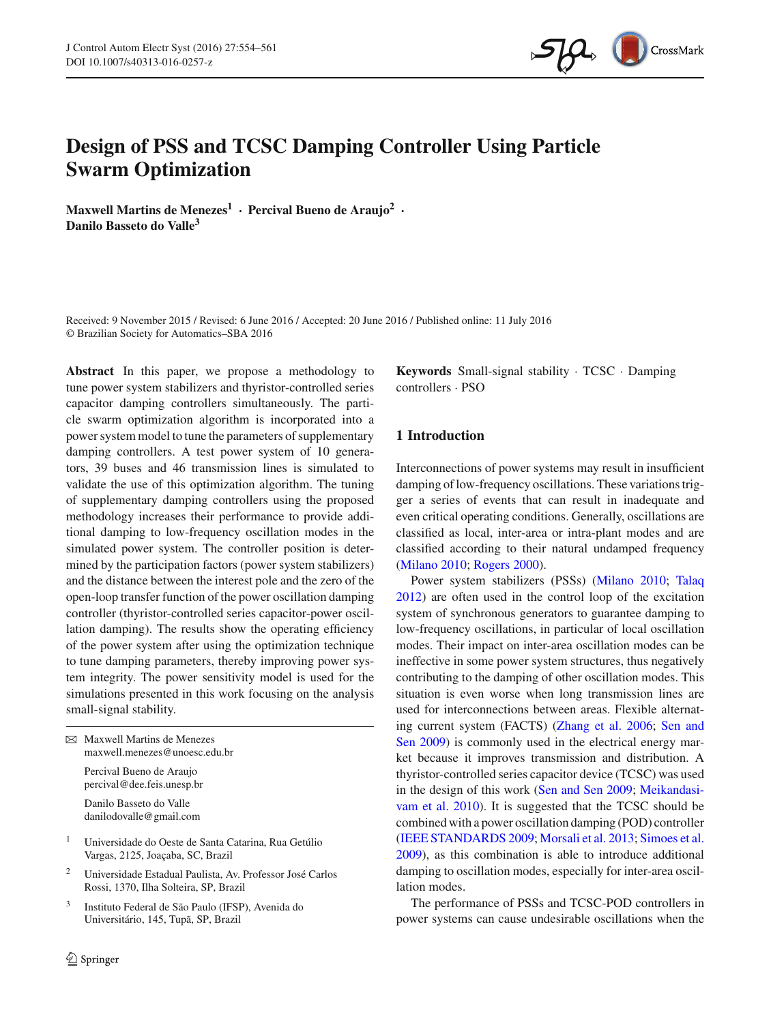

# **Design of PSS and TCSC Damping Controller Using Particle Swarm Optimization**

**Maxwell Martins de Menezes1 · Percival Bueno de Araujo2 · Danilo Basseto do Valle3**

Received: 9 November 2015 / Revised: 6 June 2016 / Accepted: 20 June 2016 / Published online: 11 July 2016 © Brazilian Society for Automatics–SBA 2016

**Abstract** In this paper, we propose a methodology to tune power system stabilizers and thyristor-controlled series capacitor damping controllers simultaneously. The particle swarm optimization algorithm is incorporated into a power system model to tune the parameters of supplementary damping controllers. A test power system of 10 generators, 39 buses and 46 transmission lines is simulated to validate the use of this optimization algorithm. The tuning of supplementary damping controllers using the proposed methodology increases their performance to provide additional damping to low-frequency oscillation modes in the simulated power system. The controller position is determined by the participation factors (power system stabilizers) and the distance between the interest pole and the zero of the open-loop transfer function of the power oscillation damping controller (thyristor-controlled series capacitor-power oscillation damping). The results show the operating efficiency of the power system after using the optimization technique to tune damping parameters, thereby improving power system integrity. The power sensitivity model is used for the simulations presented in this work focusing on the analysis small-signal stability.

| $\boxtimes$ Maxwell Martins de Menezes<br>maxwell.menezes@unoesc.edu.br |
|-------------------------------------------------------------------------|
| Percival Bueno de Araujo<br>percival@dee.feis.unesp.br                  |
| Danilo Basseto do Valle<br>danilodovalle@gmail.com                      |

- <sup>1</sup> Universidade do Oeste de Santa Catarina, Rua Getúlio Vargas, 2125, Joaçaba, SC, Brazil
- <sup>2</sup> Universidade Estadual Paulista, Av. Professor José Carlos Rossi, 1370, Ilha Solteira, SP, Brazil
- <sup>3</sup> Instituto Federal de São Paulo (IFSP), Avenida do Universitário, 145, Tupã, SP, Brazil

**Keywords** Small-signal stability · TCSC · Damping controllers · PSO

# **1 Introduction**

Interconnections of power systems may result in insufficient damping of low-frequency oscillations. These variations trigger a series of events that can result in inadequate and even critical operating conditions. Generally, oscillations are classified as local, inter-area or intra-plant modes and are classified according to their natural undamped frequency [\(Milano 2010;](#page-7-0) [Rogers 2000\)](#page-7-1).

Power system stabilizers (PSSs) [\(Milano 2010;](#page-7-0) [Talaq](#page-7-2) [2012](#page-7-2)) are often used in the control loop of the excitation system of synchronous generators to guarantee damping to low-frequency oscillations, in particular of local oscillation modes. Their impact on inter-area oscillation modes can be ineffective in some power system structures, thus negatively contributing to the damping of other oscillation modes. This situation is even worse when long transmission lines are used for interconnections between areas. Flexible alternating [current](#page-7-4) [system](#page-7-4) [\(FACTS\)](#page-7-4) [\(Zhang et al. 2006](#page-7-3)[;](#page-7-4) Sen and Sen [2009](#page-7-4)) is commonly used in the electrical energy market because it improves transmission and distribution. A thyristor-controlled series capacitor device (TCSC) was used in the des[ign](#page-7-5) [of](#page-7-5) [this](#page-7-5) [work](#page-7-5) [\(Sen and Sen 2009](#page-7-4)[;](#page-7-5) Meikandasivam et al. [2010](#page-7-5)). It is suggested that the TCSC should be combined with a power oscillation damping (POD) controller [\(IEEE STANDARDS 2009;](#page-6-0) [Morsali et al. 2013](#page-7-6); [Simoes et al.](#page-7-7) [2009](#page-7-7)), as this combination is able to introduce additional damping to oscillation modes, especially for inter-area oscillation modes.

The performance of PSSs and TCSC-POD controllers in power systems can cause undesirable oscillations when the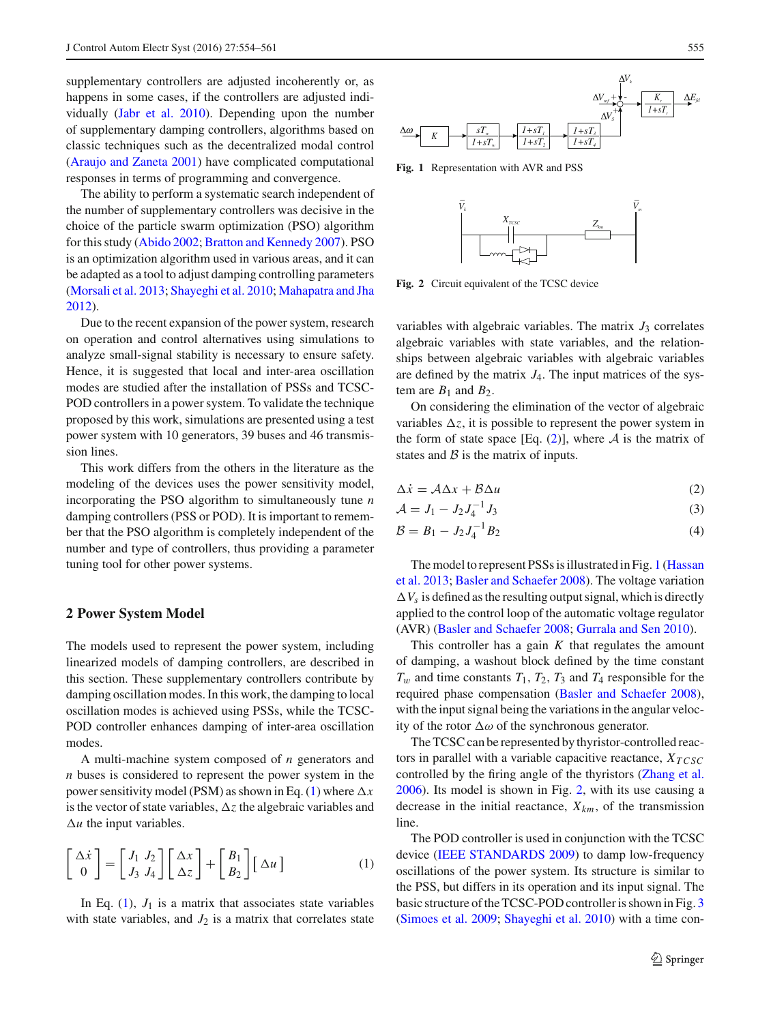supplementary controllers are adjusted incoherently or, as happens in some cases, if the controllers are adjusted individually [\(Jabr et al. 2010\)](#page-6-1). Depending upon the number of supplementary damping controllers, algorithms based on classic techniques such as the decentralized modal control [\(Araujo and Zaneta 2001\)](#page-6-2) have complicated computational responses in terms of programming and convergence.

The ability to perform a systematic search independent of the number of supplementary controllers was decisive in the choice of the particle swarm optimization (PSO) algorithm for this study [\(Abido 2002;](#page-6-3) [Bratton and Kennedy 2007](#page-6-4)). PSO is an optimization algorithm used in various areas, and it can be adapted as a tool to adjust damping controlling parameters [\(Morsali et al. 2013](#page-7-6); [Shayeghi et al. 2010;](#page-7-8) [Mahapatra and Jha](#page-7-9) [2012\)](#page-7-9).

Due to the recent expansion of the power system, research on operation and control alternatives using simulations to analyze small-signal stability is necessary to ensure safety. Hence, it is suggested that local and inter-area oscillation modes are studied after the installation of PSSs and TCSC-POD controllers in a power system. To validate the technique proposed by this work, simulations are presented using a test power system with 10 generators, 39 buses and 46 transmission lines.

This work differs from the others in the literature as the modeling of the devices uses the power sensitivity model, incorporating the PSO algorithm to simultaneously tune *n* damping controllers (PSS or POD). It is important to remember that the PSO algorithm is completely independent of the number and type of controllers, thus providing a parameter tuning tool for other power systems.

#### **2 Power System Model**

The models used to represent the power system, including linearized models of damping controllers, are described in this section. These supplementary controllers contribute by damping oscillation modes. In this work, the damping to local oscillation modes is achieved using PSSs, while the TCSC-POD controller enhances damping of inter-area oscillation modes.

A multi-machine system composed of *n* generators and *n* buses is considered to represent the power system in the power sensitivity model (PSM) as shown in Eq. [\(1\)](#page-1-0) where  $\Delta x$ is the vector of state variables,  $\Delta z$  the algebraic variables and  $\Delta u$  the input variables.

<span id="page-1-0"></span>
$$
\begin{bmatrix} \Delta \dot{x} \\ 0 \end{bmatrix} = \begin{bmatrix} J_1 & J_2 \\ J_3 & J_4 \end{bmatrix} \begin{bmatrix} \Delta x \\ \Delta z \end{bmatrix} + \begin{bmatrix} B_1 \\ B_2 \end{bmatrix} \begin{bmatrix} \Delta u \end{bmatrix}
$$
 (1)

In Eq.  $(1)$ ,  $J_1$  is a matrix that associates state variables with state variables, and  $J_2$  is a matrix that correlates state



<span id="page-1-2"></span>**Fig. 1** Representation with AVR and PSS



<span id="page-1-3"></span>**Fig. 2** Circuit equivalent of the TCSC device

variables with algebraic variables. The matrix  $J_3$  correlates algebraic variables with state variables, and the relationships between algebraic variables with algebraic variables are defined by the matrix *J*4. The input matrices of the system are  $B_1$  and  $B_2$ .

On considering the elimination of the vector of algebraic variables  $\Delta z$ , it is possible to represent the power system in the form of state space [Eq.  $(2)$ ], where *A* is the matrix of states and *B* is the matrix of inputs.

$$
\Delta \dot{x} = A \Delta x + B \Delta u \tag{2}
$$

<span id="page-1-1"></span>
$$
\mathcal{A} = J_1 - J_2 J_4^{-1} J_3 \tag{3}
$$

$$
\mathcal{B} = B_1 - J_2 J_4^{-1} B_2 \tag{4}
$$

T[he](#page-6-5) [model](#page-6-5) [to](#page-6-5) [represent](#page-6-5) [PSSs](#page-6-5) [is](#page-6-5) [illustrated](#page-6-5) [in](#page-6-5) [Fig.](#page-6-5) [1](#page-1-2) (Hassan et al. [2013](#page-6-5); [Basler and Schaefer 2008\)](#page-6-6). The voltage variation  $\Delta V_s$  is defined as the resulting output signal, which is directly applied to the control loop of the automatic voltage regulator (AVR) [\(Basler and Schaefer 2008](#page-6-6); [Gurrala and Sen 2010\)](#page-6-7).

This controller has a gain *K* that regulates the amount of damping, a washout block defined by the time constant  $T_w$  and time constants  $T_1$ ,  $T_2$ ,  $T_3$  and  $T_4$  responsible for the required phase compensation [\(Basler and Schaefer 2008](#page-6-6)), with the input signal being the variations in the angular velocity of the rotor  $\Delta\omega$  of the synchronous generator.

The TCSC can be represented by thyristor-controlled reactors in parallel with a variable capacitive reactance,  $X_{TCSC}$ controlled by the firing angle of the thyristors [\(Zhang et al.](#page-7-3) [2006](#page-7-3)). Its model is shown in Fig. [2,](#page-1-3) with its use causing a decrease in the initial reactance,  $X_{km}$ , of the transmission line.

The POD controller is used in conjunction with the TCSC device [\(IEEE STANDARDS 2009](#page-6-0)) to damp low-frequency oscillations of the power system. Its structure is similar to the PSS, but differs in its operation and its input signal. The basic structure of the TCSC-POD controller is shown in Fig. [3](#page-2-0) [\(Simoes et al. 2009](#page-7-7); [Shayeghi et al. 2010](#page-7-8)) with a time con-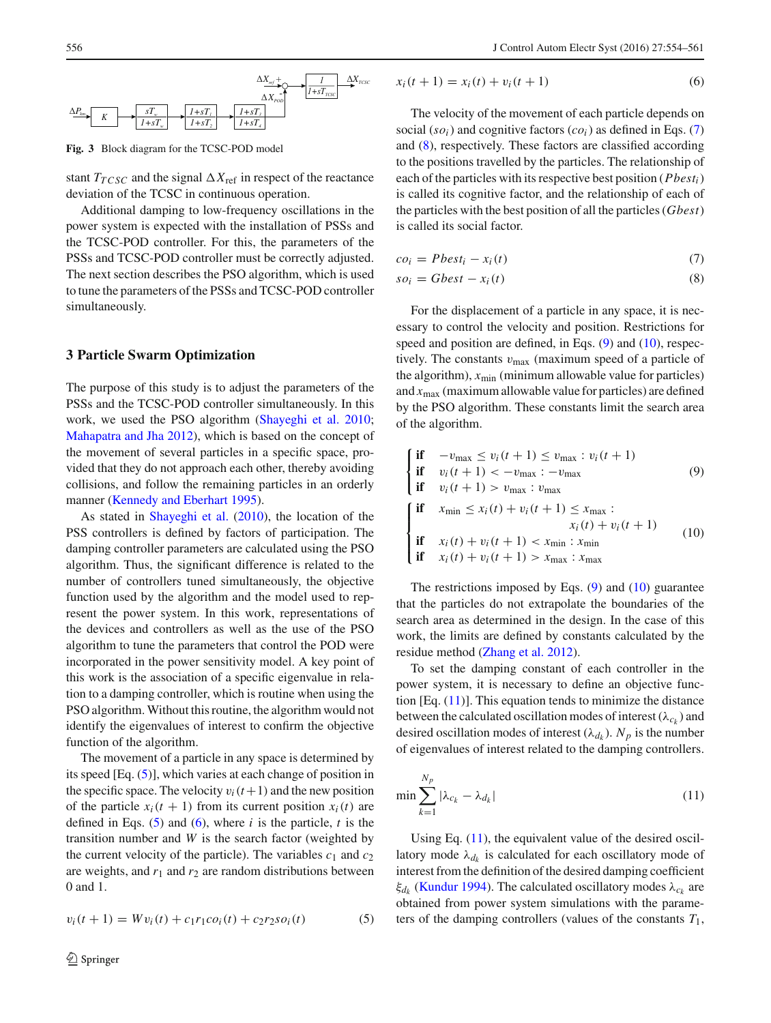

<span id="page-2-0"></span>**Fig. 3** Block diagram for the TCSC-POD model

stant  $T_{TCSC}$  and the signal  $\Delta X_{\text{ref}}$  in respect of the reactance deviation of the TCSC in continuous operation.

Additional damping to low-frequency oscillations in the power system is expected with the installation of PSSs and the TCSC-POD controller. For this, the parameters of the PSSs and TCSC-POD controller must be correctly adjusted. The next section describes the PSO algorithm, which is used to tune the parameters of the PSSs and TCSC-POD controller simultaneously.

#### **3 Particle Swarm Optimization**

The purpose of this study is to adjust the parameters of the PSSs and the TCSC-POD controller simultaneously. In this work, we used the PSO algorithm [\(Shayeghi et al. 2010](#page-7-8); [Mahapatra and Jha 2012](#page-7-9)), which is based on the concept of the movement of several particles in a specific space, provided that they do not approach each other, thereby avoiding collisions, and follow the remaining particles in an orderly manner [\(Kennedy and Eberhart 1995\)](#page-6-8).

As stated in [Shayeghi et al.](#page-7-8) [\(2010\)](#page-7-8), the location of the PSS controllers is defined by factors of participation. The damping controller parameters are calculated using the PSO algorithm. Thus, the significant difference is related to the number of controllers tuned simultaneously, the objective function used by the algorithm and the model used to represent the power system. In this work, representations of the devices and controllers as well as the use of the PSO algorithm to tune the parameters that control the POD were incorporated in the power sensitivity model. A key point of this work is the association of a specific eigenvalue in relation to a damping controller, which is routine when using the PSO algorithm. Without this routine, the algorithm would not identify the eigenvalues of interest to confirm the objective function of the algorithm.

The movement of a particle in any space is determined by its speed [Eq. [\(5\)](#page-2-1)], which varies at each change of position in the specific space. The velocity  $v_i(t+1)$  and the new position of the particle  $x_i(t + 1)$  from its current position  $x_i(t)$  are defined in Eqs.  $(5)$  and  $(6)$ , where *i* is the particle, *t* is the transition number and *W* is the search factor (weighted by the current velocity of the particle). The variables  $c_1$  and  $c_2$ are weights, and  $r_1$  and  $r_2$  are random distributions between 0 and 1.

<span id="page-2-1"></span>
$$
v_i(t+1) = Wv_i(t) + c_1r_1co_i(t) + c_2r_2so_i(t)
$$
\n(5)

$$
x_i(t+1) = x_i(t) + v_i(t+1)
$$
 (6)

The velocity of the movement of each particle depends on social  $(so_i)$  and cognitive factors  $(co_i)$  as defined in Eqs. [\(7\)](#page-2-2) and [\(8\)](#page-2-2), respectively. These factors are classified according to the positions travelled by the particles. The relationship of each of the particles with its respective best position (*Pbesti*) is called its cognitive factor, and the relationship of each of the particles with the best position of all the particles (*Gbest*) is called its social factor.

<span id="page-2-2"></span>
$$
co_i = Pbest_i - x_i(t) \tag{7}
$$

$$
so_i = Gbest - x_i(t) \tag{8}
$$

For the displacement of a particle in any space, it is necessary to control the velocity and position. Restrictions for speed and position are defined, in Eqs. [\(9\)](#page-2-3) and [\(10\)](#page-2-3), respectively. The constants  $v_{\text{max}}$  (maximum speed of a particle of the algorithm),  $x_{\text{min}}$  (minimum allowable value for particles) and  $x_{\text{max}}$  (maximum allowable value for particles) are defined by the PSO algorithm. These constants limit the search area of the algorithm.

<span id="page-2-3"></span>
$$
\begin{cases}\n\text{if} & -v_{\text{max}} \le v_i(t+1) \le v_{\text{max}} : v_i(t+1) \\
\text{if} & v_i(t+1) < -v_{\text{max}} : -v_{\text{max}} \\
\text{if} & v_i(t+1) > v_{\text{max}} : v_{\text{max}}\n\end{cases} \tag{9}
$$
\n
$$
\begin{cases}\n\text{if} & x_{\text{min}} \le x_i(t) + v_i(t+1) \le x_{\text{max}} : \\
& x_i(t) + v_i(t+1) < x_{\text{min}} : x_{\text{min}} \\
\text{if} & x_i(t) + v_i(t+1) > x_{\text{max}} : x_{\text{max}}\n\end{cases} \tag{10}
$$

The restrictions imposed by Eqs.  $(9)$  and  $(10)$  guarantee that the particles do not extrapolate the boundaries of the search area as determined in the design. In the case of this work, the limits are defined by constants calculated by the residue method [\(Zhang et al. 2012\)](#page-7-10).

To set the damping constant of each controller in the power system, it is necessary to define an objective function  $[Eq. (11)]$  $[Eq. (11)]$  $[Eq. (11)]$ . This equation tends to minimize the distance between the calculated oscillation modes of interest  $(\lambda_{c_k})$  and desired oscillation modes of interest  $(\lambda_{d_k})$ .  $N_p$  is the number of eigenvalues of interest related to the damping controllers.

<span id="page-2-4"></span>
$$
\min \sum_{k=1}^{N_p} |\lambda_{c_k} - \lambda_{d_k}| \tag{11}
$$

Using Eq.  $(11)$ , the equivalent value of the desired oscillatory mode  $\lambda_{d_k}$  is calculated for each oscillatory mode of interest from the definition of the desired damping coefficient ξ<sub>d<sub>k</sub></sub> [\(Kundur 1994](#page-7-11)). The calculated oscillatory modes  $λ<sub>ck</sub>$  are obtained from power system simulations with the parameters of the damping controllers (values of the constants *T*1,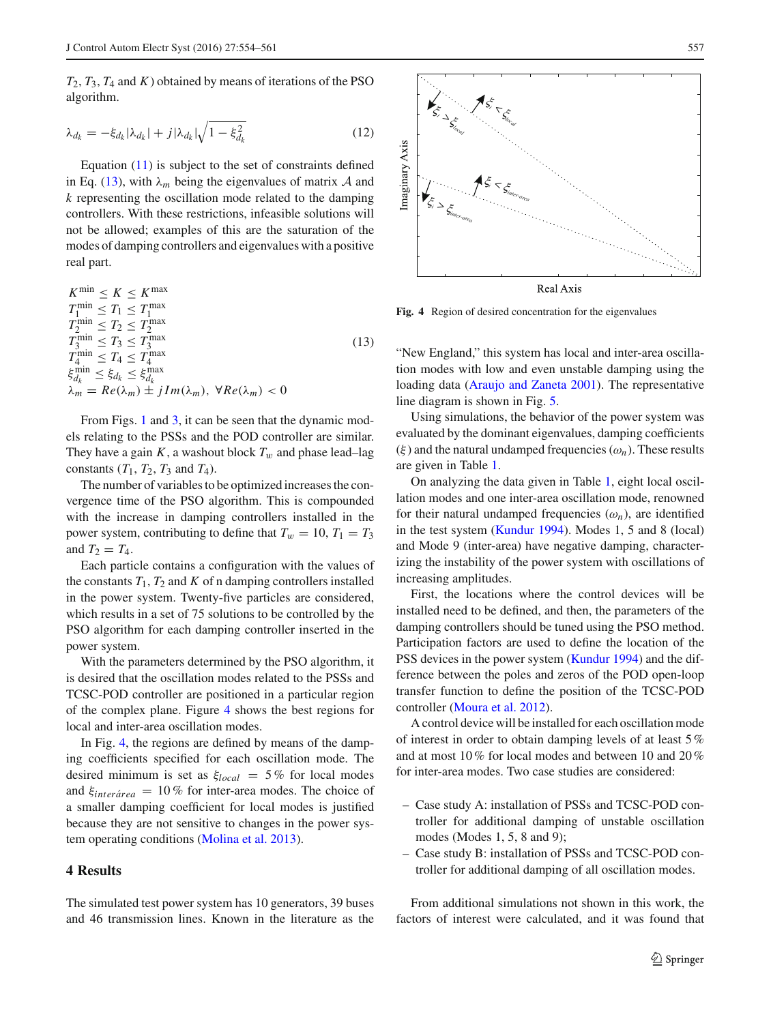$T_2$ ,  $T_3$ ,  $T_4$  and  $K$ ) obtained by means of iterations of the PSO algorithm.

$$
\lambda_{d_k} = -\xi_{d_k} |\lambda_{d_k}| + j |\lambda_{d_k}| \sqrt{1 - \xi_{d_k}^2}
$$
\n(12)

Equation [\(11\)](#page-2-4) is subject to the set of constraints defined in Eq. [\(13\)](#page-3-0), with  $\lambda_m$  being the eigenvalues of matrix *A* and *k* representing the oscillation mode related to the damping controllers. With these restrictions, infeasible solutions will not be allowed; examples of this are the saturation of the modes of damping controllers and eigenvalues with a positive real part.

<span id="page-3-0"></span> $K^{\min} \leq K \leq K^{\max}$  $T_1^{\min} \leq T_1 \leq T_1^{\max}$  $T_1 \text{ min} \leq T_1 \leq T_1 \text{ max}$ <br>  $T_2 \text{ min} \leq T_2 \leq T_2 \text{ max}$ <br>  $T_3 \leq T_3 \leq T_3 \text{ max}$  $T_4^{\min} \leq T_4 \leq T_4^{\max}$  $\xi_{d_k}^{\min} \leq \xi_{d_k} \leq \xi_{d_k}^{\max}$  $\lambda_m = Re(\lambda_m) \pm i Im(\lambda_m)$ ,  $\forall Re(\lambda_m) < 0$ (13)

From Figs. [1](#page-1-2) and [3,](#page-2-0) it can be seen that the dynamic models relating to the PSSs and the POD controller are similar. They have a gain *K*, a washout block  $T_w$  and phase lead–lag constants  $(T_1, T_2, T_3$  and  $T_4$ ).

The number of variables to be optimized increases the convergence time of the PSO algorithm. This is compounded with the increase in damping controllers installed in the power system, contributing to define that  $T_w = 10$ ,  $T_1 = T_3$ and  $T_2 = T_4$ .

Each particle contains a configuration with the values of the constants  $T_1$ ,  $T_2$  and  $K$  of n damping controllers installed in the power system. Twenty-five particles are considered, which results in a set of 75 solutions to be controlled by the PSO algorithm for each damping controller inserted in the power system.

With the parameters determined by the PSO algorithm, it is desired that the oscillation modes related to the PSSs and TCSC-POD controller are positioned in a particular region of the complex plane. Figure [4](#page-3-1) shows the best regions for local and inter-area oscillation modes.

In Fig. [4,](#page-3-1) the regions are defined by means of the damping coefficients specified for each oscillation mode. The desired minimum is set as  $\xi_{local} = 5\%$  for local modes and  $\xi_{inter\acute{a}rea} = 10\%$  for inter-area modes. The choice of a smaller damping coefficient for local modes is justified because they are not sensitive to changes in the power system operating conditions [\(Molina et al. 2013\)](#page-7-12).

### **4 Results**

The simulated test power system has 10 generators, 39 buses and 46 transmission lines. Known in the literature as the



<span id="page-3-1"></span>**Fig. 4** Region of desired concentration for the eigenvalues

"New England," this system has local and inter-area oscillation modes with low and even unstable damping using the loading data [\(Araujo and Zaneta 2001](#page-6-2)). The representative line diagram is shown in Fig. [5.](#page-4-0)

Using simulations, the behavior of the power system was evaluated by the dominant eigenvalues, damping coefficients  $(\xi)$  and the natural undamped frequencies  $(\omega_n)$ . These results are given in Table [1.](#page-4-1)

On analyzing the data given in Table [1,](#page-4-1) eight local oscillation modes and one inter-area oscillation mode, renowned for their natural undamped frequencies  $(\omega_n)$ , are identified in the test system [\(Kundur 1994\)](#page-7-11). Modes 1, 5 and 8 (local) and Mode 9 (inter-area) have negative damping, characterizing the instability of the power system with oscillations of increasing amplitudes.

First, the locations where the control devices will be installed need to be defined, and then, the parameters of the damping controllers should be tuned using the PSO method. Participation factors are used to define the location of the PSS devices in the power system [\(Kundur 1994](#page-7-11)) and the difference between the poles and zeros of the POD open-loop transfer function to define the position of the TCSC-POD controller [\(Moura et al. 2012\)](#page-7-13).

A control device will be installed for each oscillation mode of interest in order to obtain damping levels of at least 5% and at most 10% for local modes and between 10 and 20% for inter-area modes. Two case studies are considered:

- Case study A: installation of PSSs and TCSC-POD controller for additional damping of unstable oscillation modes (Modes 1, 5, 8 and 9);
- Case study B: installation of PSSs and TCSC-POD controller for additional damping of all oscillation modes.

From additional simulations not shown in this work, the factors of interest were calculated, and it was found that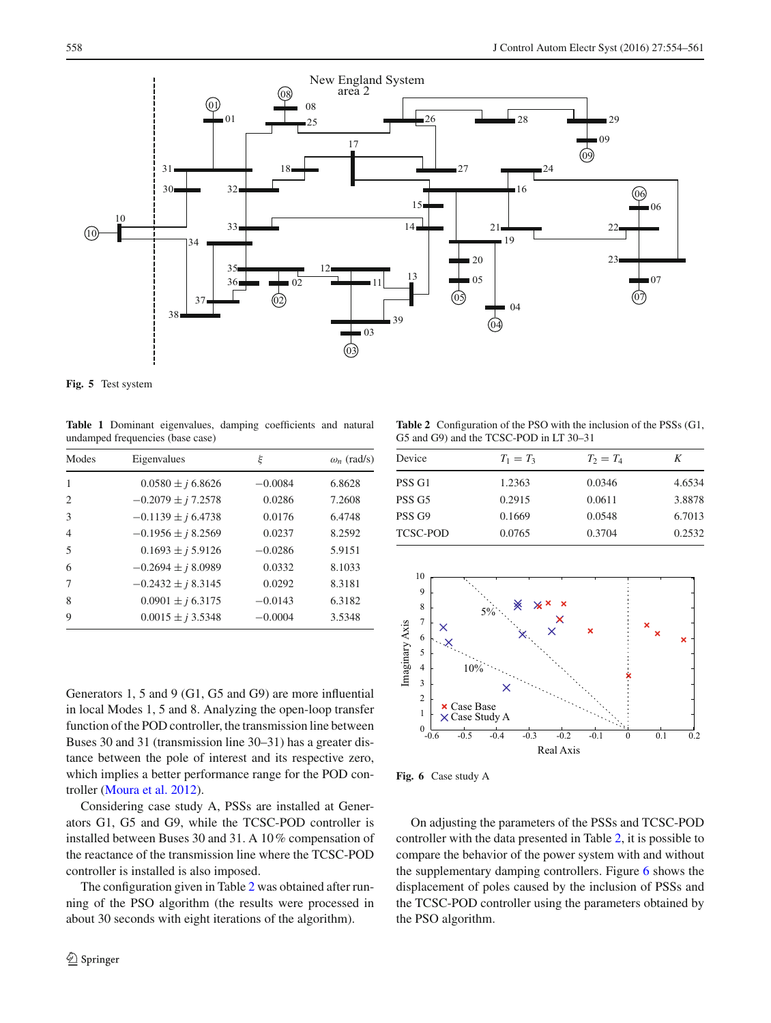

<span id="page-4-0"></span>**Fig. 5** Test system

<span id="page-4-1"></span>**Table 1** Dominant eigenvalues, damping coefficients and natural undamped frequencies (base case)

| Modes          | Eigenvalues            | ξ         | $\omega_n$ (rad/s) |
|----------------|------------------------|-----------|--------------------|
| $\mathbf{1}$   | $0.0580 \pm i 6.8626$  | $-0.0084$ | 6.8628             |
| $\mathcal{L}$  | $-0.2079 \pm i 7.2578$ | 0.0286    | 7.2608             |
| $\mathcal{F}$  | $-0.1139 \pm i 6.4738$ | 0.0176    | 6.4748             |
| $\overline{4}$ | $-0.1956 \pm i 8.2569$ | 0.0237    | 8.2592             |
| $\overline{5}$ | $0.1693 \pm i 5.9126$  | $-0.0286$ | 5.9151             |
| 6              | $-0.2694 \pm i8.0989$  | 0.0332    | 8.1033             |
| 7              | $-0.2432 \pm i 8.3145$ | 0.0292    | 8.3181             |
| 8              | $0.0901 \pm i 6.3175$  | $-0.0143$ | 6.3182             |
| $\mathbf Q$    | $0.0015 \pm j 3.5348$  | $-0.0004$ | 3.5348             |
|                |                        |           |                    |

Generators 1, 5 and 9 (G1, G5 and G9) are more influential in local Modes 1, 5 and 8. Analyzing the open-loop transfer function of the POD controller, the transmission line between Buses 30 and 31 (transmission line 30–31) has a greater distance between the pole of interest and its respective zero, which implies a better performance range for the POD controller [\(Moura et al. 2012](#page-7-13)).

Considering case study A, PSSs are installed at Generators G1, G5 and G9, while the TCSC-POD controller is installed between Buses 30 and 31. A 10% compensation of the reactance of the transmission line where the TCSC-POD controller is installed is also imposed.

The configuration given in Table [2](#page-4-2) was obtained after running of the PSO algorithm (the results were processed in about 30 seconds with eight iterations of the algorithm).

<span id="page-4-2"></span>**Table 2** Configuration of the PSO with the inclusion of the PSSs (G1, G5 and G9) and the TCSC-POD in LT 30–31

| Device            | $T_1 = T_3$ | $T_2 = T_4$ | K      |
|-------------------|-------------|-------------|--------|
| PSS G1            | 1.2363      | 0.0346      | 4.6534 |
| PSS <sub>G5</sub> | 0.2915      | 0.0611      | 3.8878 |
| PSS <sub>G9</sub> | 0.1669      | 0.0548      | 6.7013 |
| <b>TCSC-POD</b>   | 0.0765      | 0.3704      | 0.2532 |



<span id="page-4-3"></span>**Fig. 6** Case study A

On adjusting the parameters of the PSSs and TCSC-POD controller with the data presented in Table [2,](#page-4-2) it is possible to compare the behavior of the power system with and without the supplementary damping controllers. Figure [6](#page-4-3) shows the displacement of poles caused by the inclusion of PSSs and the TCSC-POD controller using the parameters obtained by the PSO algorithm.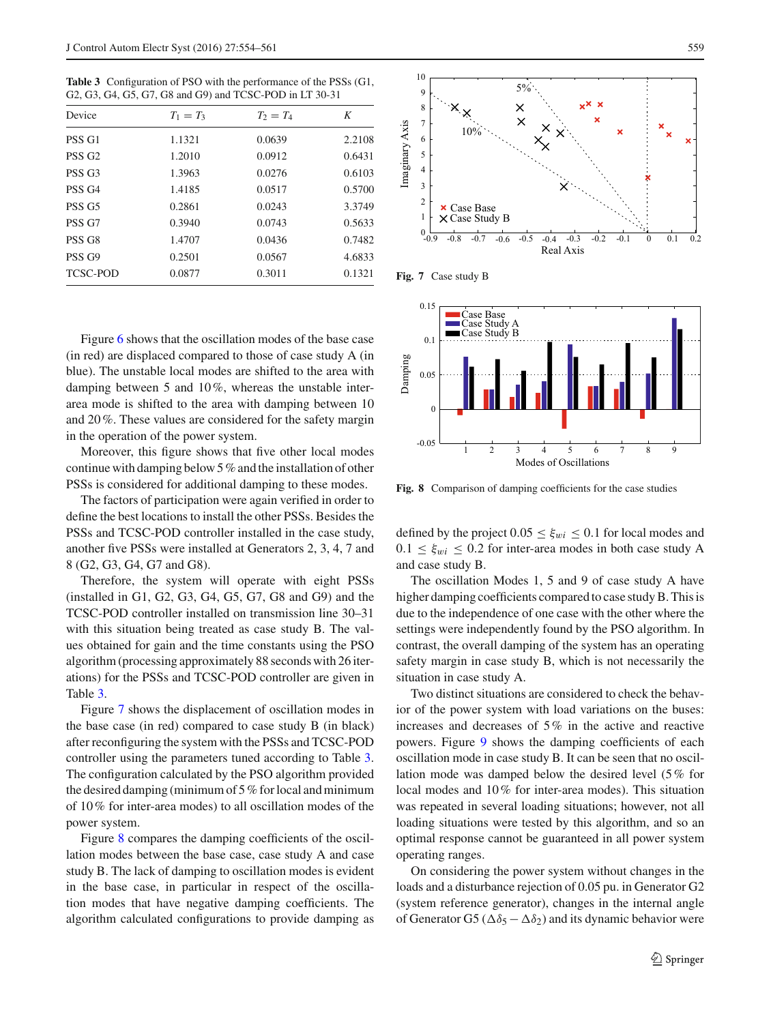<span id="page-5-0"></span>**Table 3** Configuration of PSO with the performance of the PSSs (G1, G2, G3, G4, G5, G7, G8 and G9) and TCSC-POD in LT 30-31

| Device             | $T_1 = T_3$ | $T_2 = T_4$ | K      |
|--------------------|-------------|-------------|--------|
| PSS <sub>G1</sub>  | 1.1321      | 0.0639      | 2.2108 |
| PSS <sub>G2</sub>  | 1.2010      | 0.0912      | 0.6431 |
| PSS <sub>G</sub> 3 | 1.3963      | 0.0276      | 0.6103 |
| PSS <sub>G4</sub>  | 1.4185      | 0.0517      | 0.5700 |
| PSS <sub>G5</sub>  | 0.2861      | 0.0243      | 3.3749 |
| PSS <sub>G7</sub>  | 0.3940      | 0.0743      | 0.5633 |
| PSS <sub>G8</sub>  | 1.4707      | 0.0436      | 0.7482 |
| PSS <sub>G9</sub>  | 0.2501      | 0.0567      | 4.6833 |
| <b>TCSC-POD</b>    | 0.0877      | 0.3011      | 0.1321 |

Figure [6](#page-4-3) shows that the oscillation modes of the base case (in red) are displaced compared to those of case study A (in blue). The unstable local modes are shifted to the area with damping between 5 and 10%, whereas the unstable interarea mode is shifted to the area with damping between 10 and 20%. These values are considered for the safety margin in the operation of the power system.

Moreover, this figure shows that five other local modes continue with damping below 5% and the installation of other PSSs is considered for additional damping to these modes.

The factors of participation were again verified in order to define the best locations to install the other PSSs. Besides the PSSs and TCSC-POD controller installed in the case study, another five PSSs were installed at Generators 2, 3, 4, 7 and 8 (G2, G3, G4, G7 and G8).

Therefore, the system will operate with eight PSSs (installed in G1, G2, G3, G4, G5, G7, G8 and G9) and the TCSC-POD controller installed on transmission line 30–31 with this situation being treated as case study B. The values obtained for gain and the time constants using the PSO algorithm (processing approximately 88 seconds with 26 iterations) for the PSSs and TCSC-POD controller are given in Table [3.](#page-5-0)

Figure [7](#page-5-1) shows the displacement of oscillation modes in the base case (in red) compared to case study B (in black) after reconfiguring the system with the PSSs and TCSC-POD controller using the parameters tuned according to Table [3.](#page-5-0) The configuration calculated by the PSO algorithm provided the desired damping (minimum of  $5\%$  for local and minimum of 10% for inter-area modes) to all oscillation modes of the power system.

Figure [8](#page-5-2) compares the damping coefficients of the oscillation modes between the base case, case study A and case study B. The lack of damping to oscillation modes is evident in the base case, in particular in respect of the oscillation modes that have negative damping coefficients. The algorithm calculated configurations to provide damping as



**Fig. 7** Case study B

<span id="page-5-1"></span>

<span id="page-5-2"></span>**Fig. 8** Comparison of damping coefficients for the case studies

defined by the project  $0.05 \leq \xi_{wi} \leq 0.1$  for local modes and  $0.1 \leq \xi_{wi} \leq 0.2$  for inter-area modes in both case study A and case study B.

The oscillation Modes 1, 5 and 9 of case study A have higher damping coefficients compared to case study B. This is due to the independence of one case with the other where the settings were independently found by the PSO algorithm. In contrast, the overall damping of the system has an operating safety margin in case study B, which is not necessarily the situation in case study A.

Two distinct situations are considered to check the behavior of the power system with load variations on the buses: increases and decreases of 5% in the active and reactive powers. Figure [9](#page-6-9) shows the damping coefficients of each oscillation mode in case study B. It can be seen that no oscillation mode was damped below the desired level (5% for local modes and 10% for inter-area modes). This situation was repeated in several loading situations; however, not all loading situations were tested by this algorithm, and so an optimal response cannot be guaranteed in all power system operating ranges.

On considering the power system without changes in the loads and a disturbance rejection of 0.05 pu. in Generator G2 (system reference generator), changes in the internal angle of Generator G5 ( $\Delta \delta_5 - \Delta \delta_2$ ) and its dynamic behavior were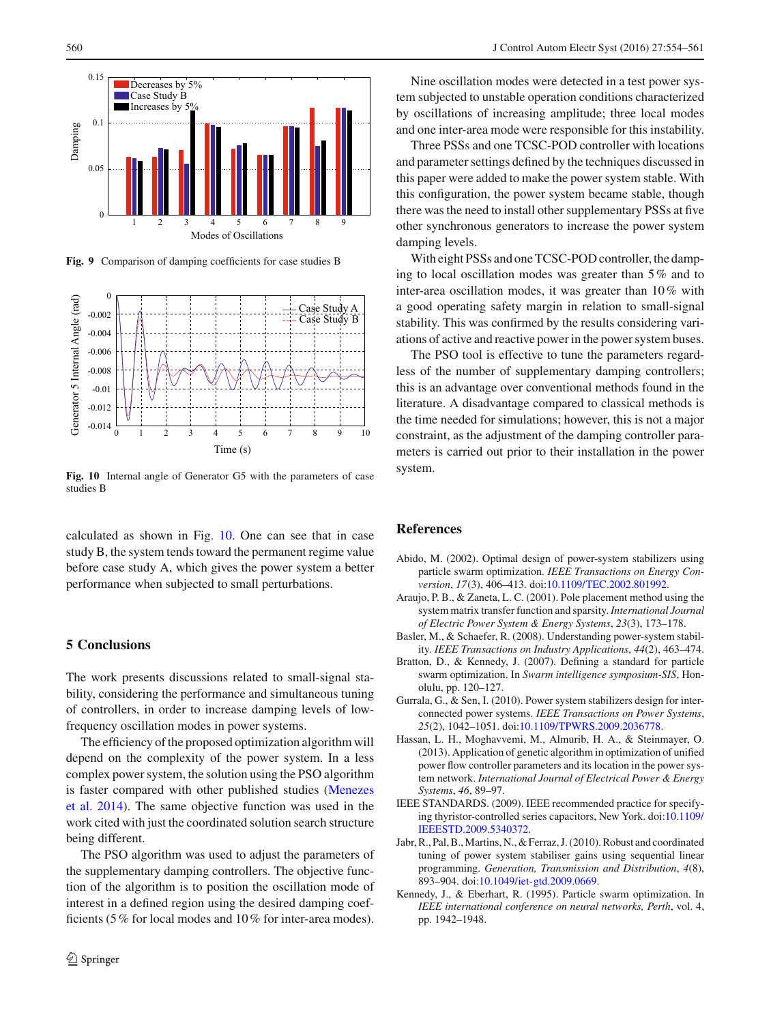

**Fig. 9** Comparison of damping coefficients for case studies B

<span id="page-6-9"></span>

<span id="page-6-10"></span>**Fig. 10** Internal angle of Generator G5 with the parameters of case studies B

calculated as shown in Fig. [10.](#page-6-10) One can see that in case study B, the system tends toward the permanent regime value before case study A, which gives the power system a better performance when subjected to small perturbations.

## **5 Conclusions**

The work presents discussions related to small-signal stability, considering the performance and simultaneous tuning of controllers, in order to increase damping levels of lowfrequency oscillation modes in power systems.

The efficiency of the proposed optimization algorithm will depend on the complexity of the power system. In a less complex power system, the solution using the PSO algorithm is fa[ster](#page-7-14) [compared](#page-7-14) [with](#page-7-14) [other](#page-7-14) [published](#page-7-14) [studies](#page-7-14) [\(](#page-7-14)Menezes et al. [2014](#page-7-14)). The same objective function was used in the work cited with just the coordinated solution search structure being different.

The PSO algorithm was used to adjust the parameters of the supplementary damping controllers. The objective function of the algorithm is to position the oscillation mode of interest in a defined region using the desired damping coefficients (5% for local modes and 10% for inter-area modes).

Nine oscillation modes were detected in a test power system subjected to unstable operation conditions characterized by oscillations of increasing amplitude; three local modes and one inter-area mode were responsible for this instability.

Three PSSs and one TCSC-POD controller with locations and parameter settings defined by the techniques discussed in this paper were added to make the power system stable. With this configuration, the power system became stable, though there was the need to install other supplementary PSSs at five other synchronous generators to increase the power system damping levels.

With eight PSSs and one TCSC-POD controller, the damping to local oscillation modes was greater than 5% and to inter-area oscillation modes, it was greater than 10% with a good operating safety margin in relation to small-signal stability. This was confirmed by the results considering variations of active and reactive power in the power system buses.

The PSO tool is effective to tune the parameters regardless of the number of supplementary damping controllers; this is an advantage over conventional methods found in the literature. A disadvantage compared to classical methods is the time needed for simulations; however, this is not a major constraint, as the adjustment of the damping controller parameters is carried out prior to their installation in the power system.

#### **References**

- <span id="page-6-3"></span>Abido, M. (2002). Optimal design of power-system stabilizers using particle swarm optimization. *IEEE Transactions on Energy Conversion*, *17*(3), 406–413. doi[:10.1109/TEC.2002.801992.](http://dx.doi.org/10.1109/TEC.2002.801992)
- <span id="page-6-2"></span>Araujo, P. B., & Zaneta, L. C. (2001). Pole placement method using the system matrix transfer function and sparsity. *International Journal of Electric Power System & Energy Systems*, *23*(3), 173–178.
- <span id="page-6-6"></span>Basler, M., & Schaefer, R. (2008). Understanding power-system stability. *IEEE Transactions on Industry Applications*, *44*(2), 463–474.
- <span id="page-6-4"></span>Bratton, D., & Kennedy, J. (2007). Defining a standard for particle swarm optimization. In *Swarm intelligence symposium-SIS*, Honolulu, pp. 120–127.
- <span id="page-6-7"></span>Gurrala, G., & Sen, I. (2010). Power system stabilizers design for interconnected power systems. *IEEE Transactions on Power Systems*, *25*(2), 1042–1051. doi[:10.1109/TPWRS.2009.2036778.](http://dx.doi.org/10.1109/TPWRS.2009.2036778)
- <span id="page-6-5"></span>Hassan, L. H., Moghavvemi, M., Almurib, H. A., & Steinmayer, O. (2013). Application of genetic algorithm in optimization of unified power flow controller parameters and its location in the power system network. *International Journal of Electrical Power & Energy Systems*, *46*, 89–97.
- <span id="page-6-0"></span>IEEE STANDARDS. (2009). IEEE recommended practice for specifying thyristor-controlled series capacitors, New York. doi[:10.1109/](http://dx.doi.org/10.1109/IEEESTD.2009.5340372) [IEEESTD.2009.5340372.](http://dx.doi.org/10.1109/IEEESTD.2009.5340372)
- <span id="page-6-1"></span>Jabr, R., Pal, B.,Martins, N., & Ferraz, J. (2010). Robust and coordinated tuning of power system stabiliser gains using sequential linear programming. *Generation, Transmission and Distribution*, *4*(8), 893–904. doi[:10.1049/iet-gtd.2009.0669.](http://dx.doi.org/10.1049/iet-gtd.2009.0669)
- <span id="page-6-8"></span>Kennedy, J., & Eberhart, R. (1995). Particle swarm optimization. In *IEEE international conference on neural networks, Perth*, vol. 4, pp. 1942–1948.